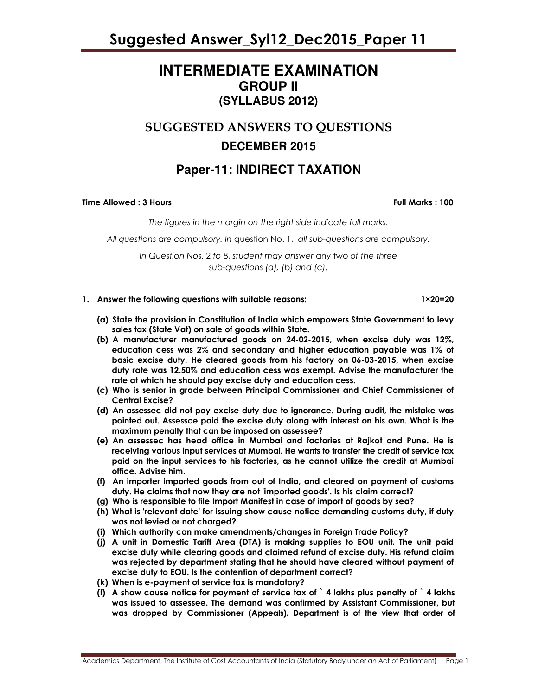### **INTERMEDIATE EXAMINATION GROUP II (SYLLABUS 2012)**

### SUGGESTED ANSWERS TO QUESTIONS **DECEMBER 2015**

### **Paper-11: INDIRECT TAXATION**

Time Allowed : 3 Hours Full Marks : 100

The figures in the margin on the right side indicate full marks.

All questions are compulsory. In question No. 1, all sub-questions are compulsory.

In Question Nos. 2 to 8, student may answer any two of the three sub-questions (a), (b) and (c).

- 1. Answer the following questions with suitable reasons: 1×20=20
	- (a) State the provision in Constitution of India which empowers State Government to levy sales tax (State Vat) on sale of goods within State.
	- (b) A manufacturer manufactured goods on 24-02-2015, when excise duty was 12%, education cess was 2% and secondary and higher education payable was 1% of basic excise duty. He cleared goods from his factory on 06-03-2015, when excise duty rate was 12.50% and education cess was exempt. Advise the manufacturer the rate at which he should pay excise duty and education cess.
	- (c) Who is senior in grade between Principal Commissioner and Chief Commissioner of Central Excise?
	- (d) An assessec did not pay excise duty due to ignorance. During audit, the mistake was pointed out. Assessce paid the excise duty along with interest on his own. What is the maximum penalty that can be imposed on assessee?
	- (e) An assessec has head office in Mumbai and factories at Rajkot and Pune. He is receiving various input services at Mumbai. He wants to transfer the credit of service tax paid on the input services to his factories, as he cannot utilize the credit at Mumbai office. Advise him.
	- (f) An importer imported goods from out of India, and cleared on payment of customs duty. He claims that now they are not 'imported goods'. Is his claim correct?
	- (g) Who is responsible to file Import Manifest in case of import of goods by sea?
	- (h) What is 'relevant date' for issuing show cause notice demanding customs duty, if duty was not levied or not charged?
	- (i) Which authority can make amendments/changes in Foreign Trade Policy?
	- (j) A unit in Domestic Tariff Area (DTA) is making supplies to EOU unit. The unit paid excise duty while clearing goods and claimed refund of excise duty. His refund claim was rejected by department stating that he should have cleared without payment of excise duty to EOU. Is the contention of department correct?
	- (k) When is e-payment of service tax is mandatory?
	- (I) A show cause notice for payment of service tax of  $\lambda$  lakhs plus penalty of  $\lambda$  lakhs was issued to assessee. The demand was confirmed by Assistant Commissioner, but was dropped by Commissioner (Appeals). Department is of the view that order of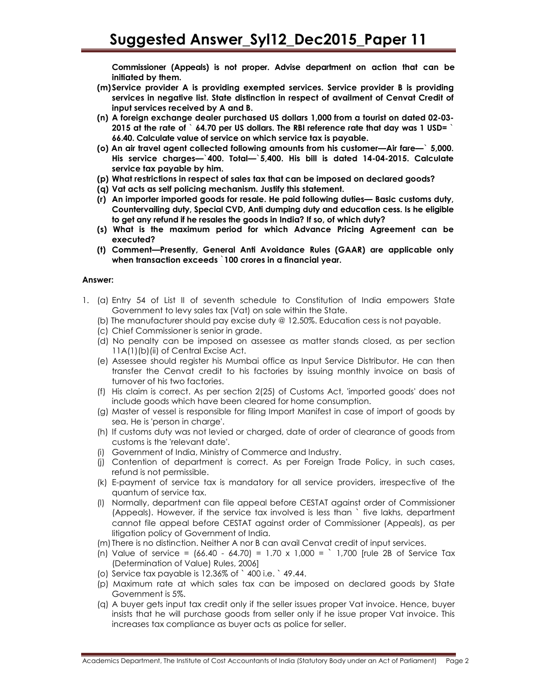Commissioner (Appeals) is not proper. Advise department on action that can be initiated by them.

- (m) Service provider A is providing exempted services. Service provider B is providing services in negative list. State distinction in respect of availment of Cenvat Credit of input services received by A and B.
- (n) A foreign exchange dealer purchased US dollars 1,000 from a tourist on dated 02-03- 2015 at the rate of  $\degree$  64.70 per US dollars. The RBI reference rate that day was 1 USD=  $\degree$ 66.40. Calculate value of service on which service tax is payable.
- (o) An air travel agent collected following amounts from his customer—Air fare—` 5,000. His service charges—`400. Total—`5,400. His bill is dated 14-04-2015. Calculate service tax payable by him.
- (p) What restrictions in respect of sales tax that can be imposed on declared goods?
- (q) Vat acts as self policing mechanism. Justify this statement.
- (r) An importer imported goods for resale. He paid following duties— Basic customs duty, Countervailing duty, Special CVD, Anti dumping duty and education cess. Is he eligible to get any refund if he resales the goods in India? If so, of which duty?
- (s) What is the maximum period for which Advance Pricing Agreement can be executed?
- (t) Comment—Presently, General Anti Avoidance Rules (GAAR) are applicable only when transaction exceeds `100 crores in a financial year.

#### Answer:

- 1. (a) Entry 54 of List II of seventh schedule to Constitution of India empowers State Government to levy sales tax (Vat) on sale within the State.
	- (b) The manufacturer should pay excise duty @ 12.50%. Education cess is not payable.
	- (c) Chief Commissioner is senior in grade.
	- (d) No penalty can be imposed on assessee as matter stands closed, as per section 11A(1)(b)(ii) of Central Excise Act.
	- (e) Assessee should register his Mumbai office as Input Service Distributor. He can then transfer the Cenvat credit to his factories by issuing monthly invoice on basis of turnover of his two factories.
	- (f) His claim is correct. As per section 2(25) of Customs Act, 'imported goods' does not include goods which have been cleared for home consumption.
	- (g) Master of vessel is responsible for filing Import Manifest in case of import of goods by sea. He is 'person in charae'.
	- (h) If customs duty was not levied or charged, date of order of clearance of goods from customs is the 'relevant date'.
	- (i) Government of India, Ministry of Commerce and Industry.
	- (j) Contention of department is correct. As per Foreign Trade Policy, in such cases, refund is not permissible.
	- (k) E-payment of service tax is mandatory for all service providers, irrespective of the quantum of service tax.
	- (l) Normally, department can file appeal before CESTAT against order of Commissioner (Appeals). However, if the service tax involved is less than ` five lakhs, department cannot file appeal before CESTAT against order of Commissioner (Appeals), as per litigation policy of Government of India.
	- (m) There is no distinction. Neither A nor B can avail Cenvat credit of input services.
	- (n) Value of service =  $(66.40 64.70) = 1.70 \times 1,000 = 1.700$  [rule 2B of Service Tax (Determination of Value) Rules, 2006]
	- (o) Service tax payable is 12.36% of ` 400 i.e. ` 49.44.
	- (p) Maximum rate at which sales tax can be imposed on declared goods by State Government is 5%.
	- (q) A buyer gets input tax credit only if the seller issues proper Vat invoice. Hence, buyer insists that he will purchase goods from seller only if he issue proper Vat invoice. This increases tax compliance as buyer acts as police for seller.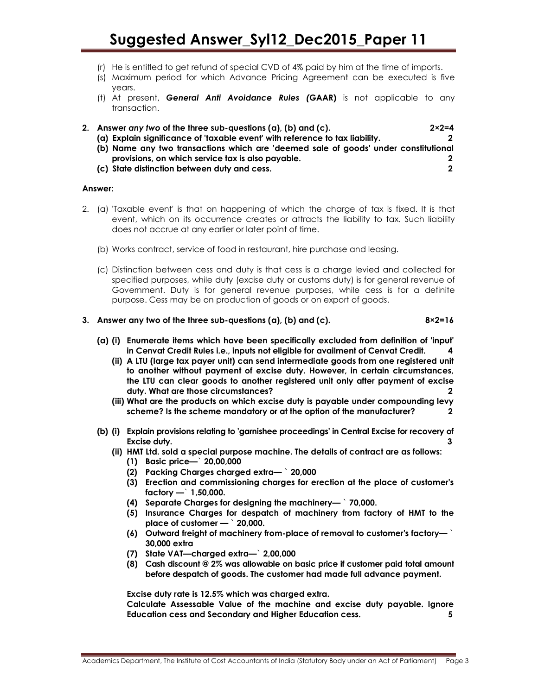- (r) He is entitled to get refund of special CVD of 4% paid by him at the time of imports.
- (s) Maximum period for which Advance Pricing Agreement can be executed is five years.
- (t) At present, **General Anti Avoidance Rules (GAAR)** is not applicable to any transaction.
- 2. Answer any two of the three sub-questions (a), (b) and (c).  $2 \times 2 = 4$ (a) Explain significance of 'taxable event' with reference to tax liability. 2 (b) Name any two transactions which are 'deemed sale of goods' under constitutional provisions, on which service tax is also payable. 2
	- (c) State distinction between duty and cess. 2

#### Answer:

- 2. (a) 'Taxable event' is that on happening of which the charge of tax is fixed. It is that event, which on its occurrence creates or attracts the liability to tax. Such liability does not accrue at any earlier or later point of time.
	- (b) Works contract, service of food in restaurant, hire purchase and leasing.
	- (c) Distinction between cess and duty is that cess is a charge levied and collected for specified purposes, while duty (excise duty or customs duty) is for general revenue of Government. Duty is for general revenue purposes, while cess is for a definite purpose. Cess may be on production of goods or on export of goods.

#### 3. Answer any two of the three sub-questions (a), (b) and (c).  $8\times2=16$

- (a) (i) Enumerate items which have been specifically excluded from definition of 'input' in Cenvat Credit Rules i.e., inputs not eligible for availment of Cenvat Credit. 4
	- (ii) A LTU (large tax payer unit) can send intermediate goods from one registered unit to another without payment of excise duty. However, in certain circumstances, the LTU can clear goods to another registered unit only after payment of excise duty. What are those circumstances? 2
	- (iii) What are the products on which excise duty is payable under compounding levy scheme? Is the scheme mandatory or at the option of the manufacturer? 2
- (b) (i) Explain provisions relating to 'garnishee proceedings' in Central Excise for recovery of Excise duty. 3
	- (ii) HMT Ltd. sold a special purpose machine. The details of contract are as follows:
		- (1) Basic price—` 20,00,000
		- (2) Packing Charges charged extra— ` 20,000
		- (3) Erection and commissioning charges for erection at the place of customer's factory  $-$  1,50,000.
		- (4) Separate Charges for designing the machinery— ` 70,000.
		- (5) Insurance Charges for despatch of machinery from factory of HMT to the place of customer — ` 20,000.
		- (6) Outward freight of machinery from-place of removal to customer's factory—  $\dot{\ }$ 30,000 extra
		- (7) State VAT—charged extra—` 2,00,000
		- (8) Cash discount @ 2% was allowable on basic price if customer paid total amount before despatch of goods. The customer had made full advance payment.

Excise duty rate is 12.5% which was charged extra.

Calculate Assessable Value of the machine and excise duty payable. Ignore Education cess and Secondary and Higher Education cess. 5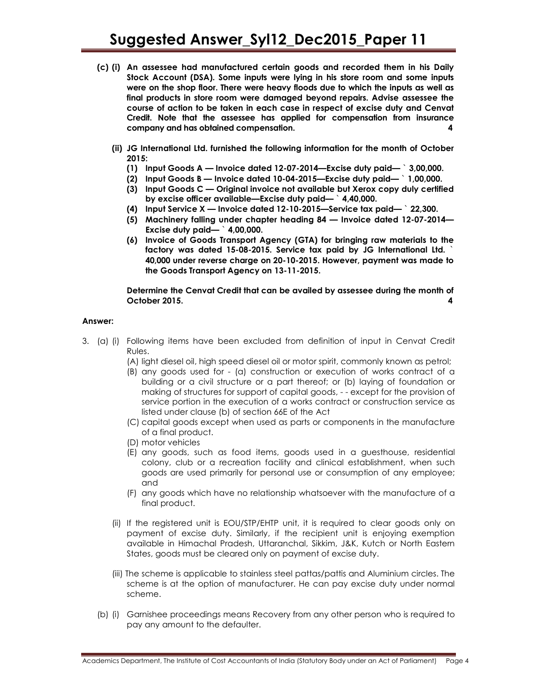- (c) (i) An assessee had manufactured certain goods and recorded them in his Daily Stock Account (DSA). Some inputs were lying in his store room and some inputs were on the shop floor. There were heavy floods due to which the inputs as well as final products in store room were damaged beyond repairs. Advise assessee the course of action to be taken in each case in respect of excise duty and Cenvat Credit. Note that the assessee has applied for compensation from insurance company and has obtained compensation. 4
	- (ii) JG International Ltd. furnished the following information for the month of October 2015:
		- (1) Input Goods A Invoice dated 12-07-2014—Excise duty paid— ` 3,00,000.
		- (2) Input Goods B Invoice dated 10-04-2015—Excise duty paid— ` 1,00,000.
		- (3) Input Goods C Original invoice not available but Xerox copy duly certified by excise officer available—Excise duty paid— ` 4,40,000.
		- (4) Input Service  $X$  Invoice dated 12-10-2015—Service tax paid—  $\degree$  22,300.
		- (5) Machinery falling under chapter heading 84 Invoice dated 12-07-2014— Excise duty paid— ` 4,00,000.
		- (6) Invoice of Goods Transport Agency (GTA) for bringing raw materials to the factory was dated 15-08-2015. Service tax paid by JG International Ltd. ` 40,000 under reverse charge on 20-10-2015. However, payment was made to the Goods Transport Agency on 13-11-2015.

#### Determine the Cenvat Credit that can be availed by assessee during the month of October 2015.

#### Answer:

- 3. (a) (i) Following items have been excluded from definition of input in Cenvat Credit Rules.
	- (A) light diesel oil, high speed diesel oil or motor spirit, commonly known as petrol;
	- (B) any goods used for (a) construction or execution of works contract of a building or a civil structure or a part thereof; or (b) laying of foundation or making of structures for support of capital goods, - - except for the provision of service portion in the execution of a works contract or construction service as listed under clause (b) of section 66E of the Act
	- (C) capital goods except when used as parts or components in the manufacture of a final product.
	- (D) motor vehicles
	- (E) any goods, such as food items, goods used in a guesthouse, residential colony, club or a recreation facility and clinical establishment, when such goods are used primarily for personal use or consumption of any employee; and
	- (F) any goods which have no relationship whatsoever with the manufacture of a final product.
	- (ii) If the registered unit is EOU/STP/EHTP unit, it is required to clear goods only on payment of excise duty. Similarly, if the recipient unit is enjoying exemption available in Himachal Pradesh, Uttaranchal, Sikkim, J&K, Kutch or North Eastern States, goods must be cleared only on payment of excise duty.
	- (iii) The scheme is applicable to stainless steel pattas/pattis and Aluminium circles. The scheme is at the option of manufacturer. He can pay excise duty under normal scheme.
	- (b) (i) Garnishee proceedings means Recovery from any other person who is required to pay any amount to the defaulter.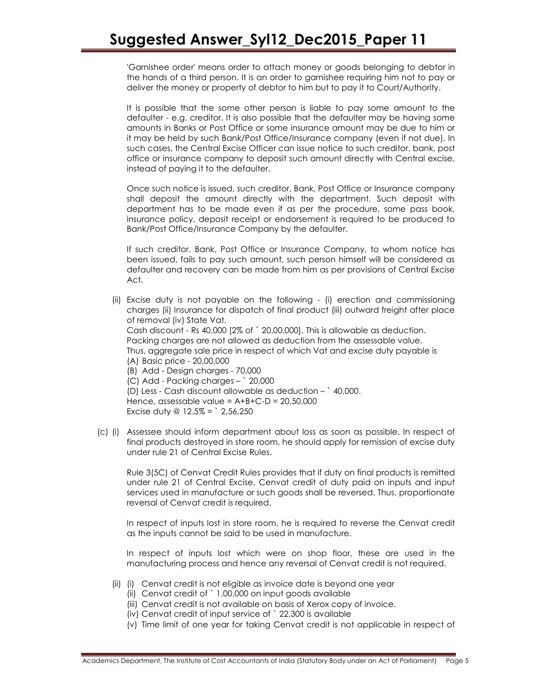'Garnishee order' means order to attach money or goods belonging to debtor in the hands of a third person. It is an order to garnishee requiring him not to pay or deliver the money or property of debtor to him but to pay it to Court/Authority.

It is possible that the some other person is liable to pay some amount to the defaulter - e.g. creditor. It is also possible that the defaulter may be having some amounts in Banks or Post Office or some insurance amount may be due to him or it may be held by such Bank/Post Office/Insurance company (even if not due). In such cases, the Central Excise Officer can issue notice to such creditor, bank, post office or insurance company to deposit such amount directly with Central excise, instead of paying it to the defaulter.

Once such notice is issued, such creditor, Bank, Post Office or Insurance company shall deposit the amount directly with the department. Such deposit with department has to be made even if as per the procedure, some pass book, insurance policy, deposit receipt or endorsement is required to be produced to Bank/Post Office/Insurance Company by the defaulter.

If such creditor, Bank, Post Office or Insurance Company, to whom notice has been issued, fails to pay such amount, such person himself will be considered as defaulter and recovery can be made from him as per provisions of Central Excise Act.

- (ii) Excise duty is not payable on the following (i) erection and commissioning charges (ii) Insurance for dispatch of final product (iii) outward freight after place of removal (iv) State Vat. Cash discount - Rs 40,000 [2% of ` 20,00,000]. This is allowable as deduction. Packing charges are not allowed as deduction from the assessable value. Thus, aggregate sale price in respect of which Vat and excise duty payable is (A) Basic price - 20,00,000 (B) Add - Design charges - 70,000 (C) Add - Packing charges – ` 20,000 (D) Less - Cash discount allowable as deduction – ` 40,000. Hence, assessable value = A+B+C-D = 20,50,000 Excise duty @  $12.5\% =$  2,56,250
- (c) (i) Assessee should inform department about loss as soon as possible. In respect of final products destroyed in store room, he should apply for remission of excise duty under rule 21 of Central Excise Rules.

Rule 3(5C) of Cenvat Credit Rules provides that if duty on final products is remitted under rule 21 of Central Excise, Cenvat credit of duty paid on inputs and input services used in manufacture or such goods shall be reversed. Thus, proportionate reversal of Cenvat credit is required.

In respect of inputs lost in store room, he is required to reverse the Cenvat credit as the inputs cannot be said to be used in manufacture.

In respect of inputs lost which were on shop floor, these are used in the manufacturing process and hence any reversal of Cenvat credit is not required.

- (ii) (i) Cenvat credit is not eligible as invoice date is beyond one year
	- (ii) Cenvat credit of ` 1,00,000 on input goods available
	- (iii) Cenvat credit is not available on basis of Xerox copy of invoice.
	- (iv) Cenvat credit of input service of ` 22,300 is available
	- (v) Time limit of one year for taking Cenvat credit is not applicable in respect of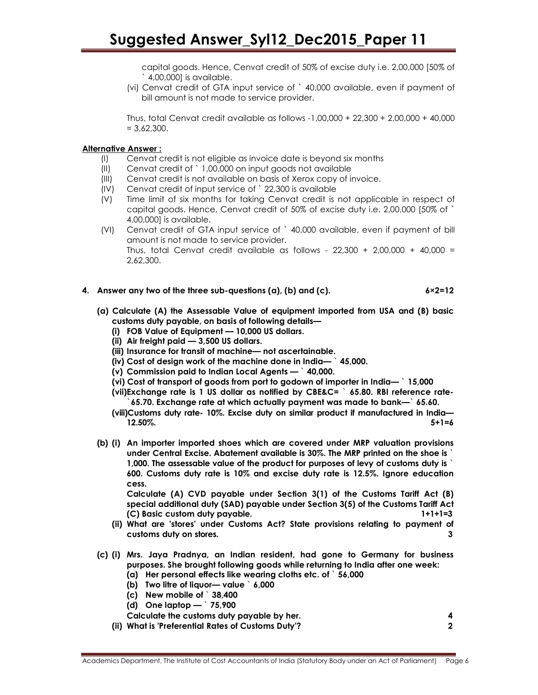capital goods. Hence, Cenvat credit of 50% of excise duty i.e. 2,00,000 [50% of ` 4,00,000] is available.

(vi) Cenvat credit of GTA input service of ` 40,000 available, even if payment of bill amount is not made to service provider.

Thus, total Cenvat credit available as follows -1,00,000 + 22,300 + 2,00,000 + 40,000  $= 3.62,300.$ 

#### Alternative Answer :

- (I) Cenvat credit is not eligible as invoice date is beyond six months
- (II) Cenvat credit of ` 1,00,000 on input goods not available
- (III) Cenvat credit is not available on basis of Xerox copy of invoice.
- (IV) Cenvat credit of input service of ` 22,300 is available
- (V) Time limit of six months for taking Cenvat credit is not applicable in respect of capital goods. Hence, Cenvat credit of 50% of excise duty i.e. 2,00,000 [50% of ` 4,00,000] is available.
- (VI) Cenvat credit of GTA input service of ` 40,000 available, even if payment of bill amount is not made to service provider. Thus, total Cenvat credit available as follows -  $22,300 + 2,00,000 + 40,000 =$ 2,62,300.
- 4. Answer any two of the three sub-questions  $(a)$ ,  $(b)$  and  $(c)$ . 6×2=12
	- (a) Calculate (A) the Assessable Value of equipment imported from USA and (B) basic customs duty payable, on basis of following details—
		- (i) FOB Value of Equipment 10,000 US dollars.
		- (ii) Air freight paid 3,500 US dollars.
		- (iii) Insurance for transit of machine— not ascertainable.
		- (iv) Cost of design work of the machine done in India— ` 45,000.
		- (v) Commission paid to Indian Local Agents ` 40,000.
		- (vi) Cost of transport of goods from port to godown of importer in India— ` 15,000
		- (vii)Exchange rate is 1 US dollar as notified by CBE&C= ` 65.80. RBI reference rate- `65.70. Exchange rate at which actually payment was made to bank—` 65.60.
		- (viii)Customs duty rate- 10%. Excise duty on similar product if manufactured in India—  $12.50\%$ .  $5+1=6$
	- (b) (i) An importer imported shoes which are covered under MRP valuation provisions under Central Excise. Abatement available is 30%. The MRP printed on the shoe is ` 1,000. The assessable value of the product for purposes of levy of customs duty is ` 600. Customs duty rate is 10% and excise duty rate is 12.5%. Ignore education cess.

Calculate (A) CVD payable under Section 3(1) of the Customs Tariff Act (B) special additional duty (SAD) payable under Section 3(5) of the Customs Tariff Act (C) Basic custom duty payable. 1+1+1=3

- (ii) What are 'stores' under Customs Act? State provisions relating to payment of customs duty on stores. 3
- (c) (i) Mrs. Jaya Pradnya, an Indian resident, had gone to Germany for business purposes. She brought following goods while returning to India after one week: (a) Her personal effects like wearing cloths etc. of ` 56,000
	- (b) Two litre of liquor— value ` 6,000
	- (c) New mobile of ` 38,400
	- (d) One laptop  $\degree$  75,900
	-
	- Calculate the customs duty payable by her. 4 (ii) What is 'Preferential Rates of Customs Duty'? 2
		-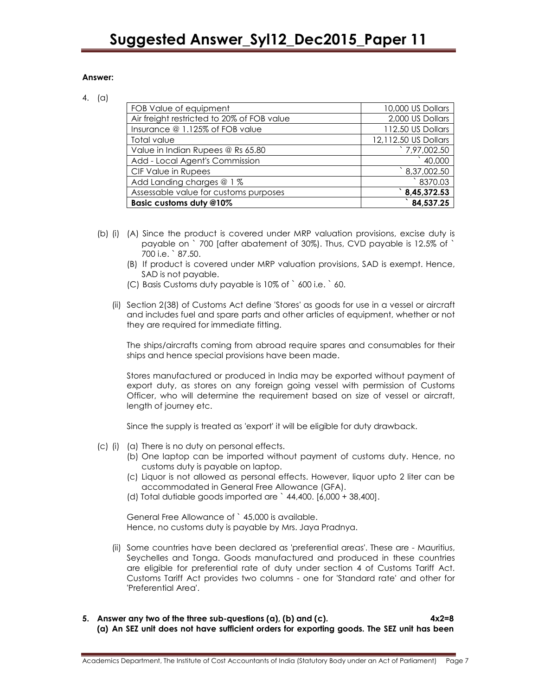#### Answer:

#### 4. (a)

| FOB Value of equipment                     | 10,000 US Dollars      |
|--------------------------------------------|------------------------|
| Air freight restricted to 20% of FOB value | 2,000 US Dollars       |
| Insurance @ 1.125% of FOB value            | 112.50 US Dollars      |
| Total value                                | 12,112.50 US Dollars   |
| Value in Indian Rupees @ Rs 65.80          | 7,97,002.50            |
| Add - Local Agent's Commission             | $^{\circ}$ 40,000      |
| CIF Value in Rupees                        | $^{\circ}$ 8,37,002.50 |
| Add Landing charges @ 1 %                  | 8370.03                |
| Assessable value for customs purposes      | 8,45,372.53            |
| Basic customs duty @10%                    | 84,537.25              |

- (b) (i) (A) Since the product is covered under MRP valuation provisions, excise duty is payable on ` 700 [after abatement of 30%). Thus, CVD payable is 12.5% of ` 700 i.e. ` 87.50.
	- (B) If product is covered under MRP valuation provisions, SAD is exempt. Hence, SAD is not payable.
	- (C) Basis Customs duty payable is 10% of ` 600 i.e. ` 60.
	- (ii) Section 2(38) of Customs Act define 'Stores' as goods for use in a vessel or aircraft and includes fuel and spare parts and other articles of equipment, whether or not they are required for immediate fitting.

The ships/aircrafts coming from abroad require spares and consumables for their ships and hence special provisions have been made.

Stores manufactured or produced in India may be exported without payment of export duty, as stores on any foreign going vessel with permission of Customs Officer, who will determine the requirement based on size of vessel or aircraft, length of journey etc.

Since the supply is treated as 'export' it will be eligible for duty drawback.

- (c) (i) (a) There is no duty on personal effects.
	- (b) One laptop can be imported without payment of customs duty. Hence, no customs duty is payable on laptop.
	- (c) Liquor is not allowed as personal effects. However, liquor upto 2 liter can be accommodated in General Free Allowance (GFA).
	- (d) Total dutiable goods imported are ` 44,400. [6,000 + 38,400].

General Free Allowance of ` 45,000 is available. Hence, no customs duty is payable by Mrs. Jaya Pradnya.

- (ii) Some countries have been declared as 'preferential areas'. These are Mauritius, Seychelles and Tonga. Goods manufactured and produced in these countries are eligible for preferential rate of duty under section 4 of Customs Tariff Act. Customs Tariff Act provides two columns - one for 'Standard rate' and other for 'Preferential Area'.
- 5. Answer any two of the three sub-questions (a), (b) and (c). 4x2=8 (a) An SEZ unit does not have sufficient orders for exporting goods. The SEZ unit has been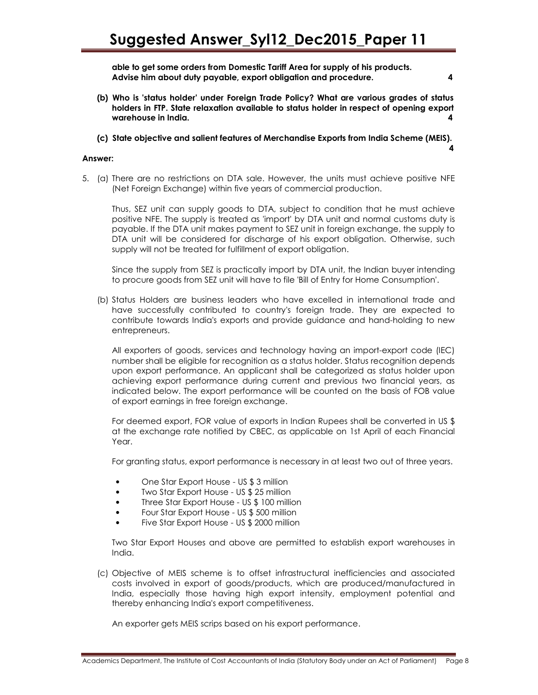able to get some orders from Domestic Tariff Area for supply of his products. Advise him about duty payable, export obligation and procedure. 4

- (b) Who is 'status holder' under Foreign Trade Policy? What are various grades of status holders in FTP. State relaxation available to status holder in respect of opening export warehouse in India. 4
- (c) State objective and salient features of Merchandise Exports from India Scheme (MEIS).

#### Answer:

5. (a) There are no restrictions on DTA sale. However, the units must achieve positive NFE (Net Foreign Exchange) within five years of commercial production.

Thus, SEZ unit can supply goods to DTA, subject to condition that he must achieve positive NFE. The supply is treated as 'import' by DTA unit and normal customs duty is payable. If the DTA unit makes payment to SEZ unit in foreign exchange, the supply to DTA unit will be considered for discharge of his export obligation. Otherwise, such supply will not be treated for fulfillment of export obligation.

Since the supply from SEZ is practically import by DTA unit, the Indian buyer intending to procure goods from SEZ unit will have to file 'Bill of Entry for Home Consumption'.

(b) Status Holders are business leaders who have excelled in international trade and have successfully contributed to country's foreign trade. They are expected to contribute towards India's exports and provide guidance and hand-holding to new entrepreneurs.

All exporters of goods, services and technology having an import-export code (IEC) number shall be eligible for recognition as a status holder. Status recognition depends upon export performance. An applicant shall be categorized as status holder upon achieving export performance during current and previous two financial years, as indicated below. The export performance will be counted on the basis of FOB value of export earnings in free foreign exchange.

For deemed export, FOR value of exports in Indian Rupees shall be converted in US \$ at the exchange rate notified by CBEC, as applicable on 1st April of each Financial Year.

For granting status, export performance is necessary in at least two out of three years.

- One Star Export House US \$ 3 million
- Two Star Export House US \$ 25 million
- Three Star Export House US \$ 100 million
- Four Star Export House US \$ 500 million
- Five Star Export House US \$ 2000 million

Two Star Export Houses and above are permitted to establish export warehouses in India.

(c) Objective of MEIS scheme is to offset infrastructural inefficiencies and associated costs involved in export of goods/products, which are produced/manufactured in India, especially those having high export intensity, employment potential and thereby enhancing India's export competitiveness.

An exporter gets MEIS scrips based on his export performance.

4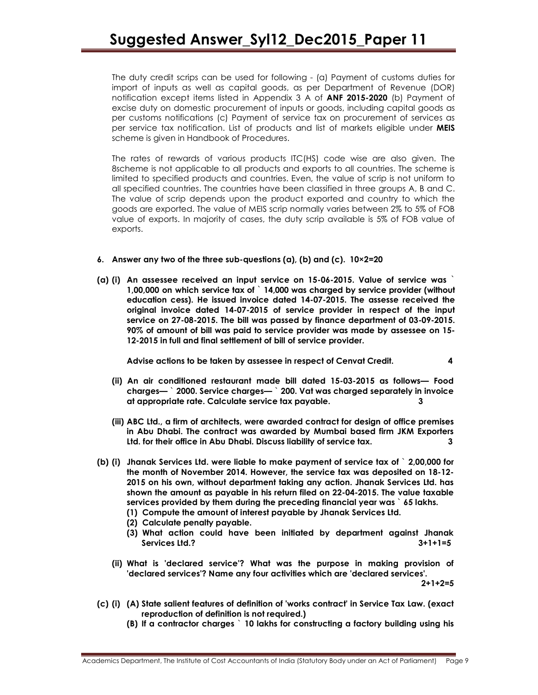The duty credit scrips can be used for following - (a) Payment of customs duties for import of inputs as well as capital goods, as per Department of Revenue (DOR) notification except items listed in Appendix 3 A of ANF 2015-2020 (b) Payment of excise duty on domestic procurement of inputs or goods, including capital goods as per customs notifications (c) Payment of service tax on procurement of services as per service tax notification. List of products and list of markets eligible under MEIS scheme is given in Handbook of Procedures.

The rates of rewards of various products ITC(HS) code wise are also given. The 8scheme is not applicable to all products and exports to all countries. The scheme is limited to specified products and countries. Even, the value of scrip is not uniform to all specified countries. The countries have been classified in three groups A, B and C. The value of scrip depends upon the product exported and country to which the goods are exported. The value of MEIS scrip normally varies between 2% to 5% of FOB value of exports. In majority of cases, the duty scrip available is 5% of FOB value of exports.

#### 6. Answer any two of the three sub-questions (a), (b) and (c). 10×2=20

(a) (i) An assessee received an input service on 15-06-2015. Value of service was ` 1,00,000 on which service tax of ` 14,000 was charged by service provider (without education cess). He issued invoice dated 14-07-2015. The assesse received the original invoice dated 14-07-2015 of service provider in respect of the input service on 27-08-2015. The bill was passed by finance department of 03-09-2015. 90% of amount of bill was paid to service provider was made by assessee on 15- 12-2015 in full and final settlement of bill of service provider.

Advise actions to be taken by assessee in respect of Cenvat Credit. 4

- (ii) An air conditioned restaurant made bill dated 15-03-2015 as follows— Food charges— ` 2000. Service charges— ` 200. Vat was charged separately in invoice at appropriate rate. Calculate service tax payable. 3
- (iii) ABC Ltd., a firm of architects, were awarded contract for design of office premises in Abu Dhabi. The contract was awarded by Mumbai based firm JKM Exporters Ltd. for their office in Abu Dhabi. Discuss liability of service tax. 3
- (b) (i) Jhanak Services Ltd. were liable to make payment of service tax of ` 2,00,000 for the month of November 2014. However, the service tax was deposited on 18-12- 2015 on his own, without department taking any action. Jhanak Services Ltd. has shown the amount as payable in his return filed on 22-04-2015. The value taxable services provided by them during the preceding financial year was  $\delta$  65 lakhs.
	- (1) Compute the amount of interest payable by Jhanak Services Ltd.
	- (2) Calculate penalty payable.
	- (3) What action could have been initiated by department against Jhanak Services Ltd.? 3+1+1=5
	- (ii) What is 'declared service'? What was the purpose in making provision of 'declared services'? Name any four activities which are 'declared services'.

2+1+2=5

- (c) (i) (A) State salient features of definition of 'works contract' in Service Tax Law. (exact reproduction of definition is not required.)
	- (B) If a contractor charges ` 10 lakhs for constructing a factory building using his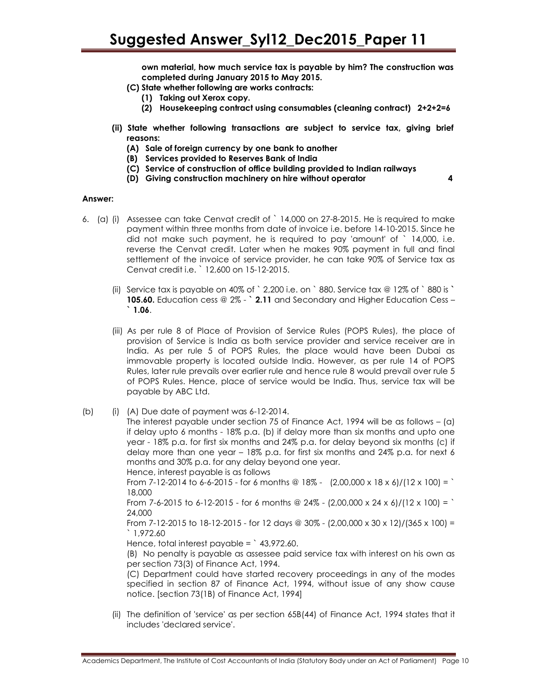own material, how much service tax is payable by him? The construction was completed during January 2015 to May 2015.

- (C) State whether following are works contracts:
	- (1) Taking out Xerox copy.
	- (2) Housekeeping contract using consumables (cleaning contract) 2+2+2=6
- (ii) State whether following transactions are subject to service tax, giving brief reasons:
	- (A) Sale of foreign currency by one bank to another
	- (B) Services provided to Reserves Bank of India
	- (C) Service of construction of office building provided to Indian railways
	- (D) Giving construction machinery on hire without operator 4

#### Answer:

- 6. (a) (i) Assessee can take Cenvat credit of ` 14,000 on 27-8-2015. He is required to make payment within three months from date of invoice i.e. before 14-10-2015. Since he did not make such payment, he is required to pay 'amount' of ` 14,000, i.e. reverse the Cenvat credit. Later when he makes 90% payment in full and final settlement of the invoice of service provider, he can take 90% of Service tax as Cenvat credit i.e. ` 12,600 on 15-12-2015.
	- (ii) Service tax is payable on 40% of  $\degree$  2,200 i.e. on  $\degree$  880. Service tax @ 12% of  $\degree$  880 is  $\degree$ 105.60. Education cess @ 2% - ` 2.11 and Secondary and Higher Education Cess -
	- (iii) As per rule 8 of Place of Provision of Service Rules (POPS Rules), the place of provision of Service is India as both service provider and service receiver are in India. As per rule 5 of POPS Rules, the place would have been Dubai as immovable property is located outside India. However, as per rule 14 of POPS Rules, later rule prevails over earlier rule and hence rule 8 would prevail over rule 5 of POPS Rules. Hence, place of service would be India. Thus, service tax will be payable by ABC Ltd.
- $(b)$  (i)  $(A)$  Due date of payment was  $6-12-2014$ .

The interest payable under section 75 of Finance Act, 1994 will be as follows – (a) if delay upto 6 months - 18% p.a. (b) if delay more than six months and upto one year - 18% p.a. for first six months and 24% p.a. for delay beyond six months (c) if delay more than one year – 18% p.a. for first six months and 24% p.a. for next 6 months and 30% p.a. for any delay beyond one year.

Hence, interest payable is as follows From 7-12-2014 to 6-6-2015 - for 6 months @ 18% -  $(2,00,000 \times 18 \times 6)/(12 \times 100) =$ 18,000

From 7-6-2015 to 6-12-2015 - for 6 months @ 24% - (2,00,000 x 24 x 6)/(12 x 100) = ` 24,000

From 7-12-2015 to 18-12-2015 - for 12 days @ 30% - (2,00,000 x 30 x 12)/(365 x 100) = ` 1,972.60

Hence, total interest payable =  $\degree$  43,972.60.

(B) No penalty is payable as assessee paid service tax with interest on his own as per section 73(3) of Finance Act, 1994.

(C) Department could have started recovery proceedings in any of the modes specified in section 87 of Finance Act, 1994, without issue of any show cause notice. [section 73(1B) of Finance Act, 1994]

(ii) The definition of 'service' as per section 65B(44) of Finance Act, 1994 states that it includes 'declared service'.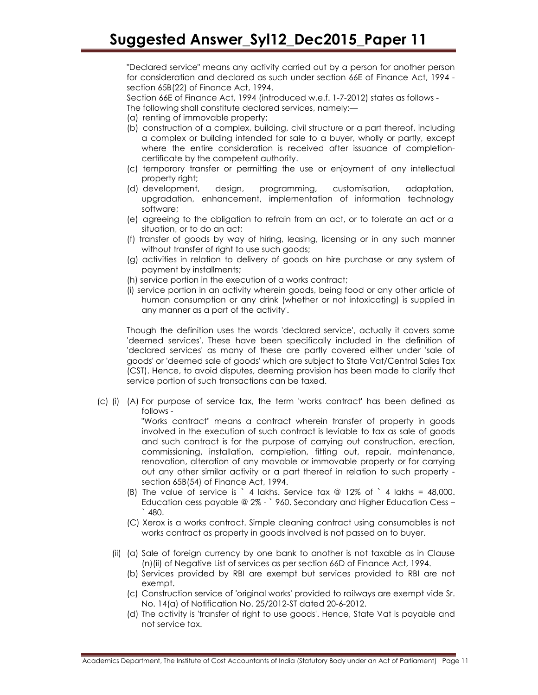"Declared service" means any activity carried out by a person for another person for consideration and declared as such under section 66E of Finance Act, 1994 section 65B(22) of Finance Act, 1994.

Section 66E of Finance Act, 1994 (introduced w.e.f. 1-7-2012) states as follows - The following shall constitute declared services, namely:—

- (a) renting of immovable property;
- (b) construction of a complex, building, civil structure or a part thereof, including a complex or building intended for sale to a buyer, wholly or partly, except where the entire consideration is received after issuance of completioncertificate by the competent authority.
- (c) temporary transfer or permitting the use or enjoyment of any intellectual property right;
- (d) development, design, programming, customisation, adaptation, upgradation, enhancement, implementation of information technology software;
- (e) agreeing to the obligation to refrain from an act, or to tolerate an act or a situation, or to do an act;
- (f) transfer of goods by way of hiring, leasing, licensing or in any such manner without transfer of right to use such goods;
- (g) activities in relation to delivery of goods on hire purchase or any system of payment by installments;
- (h) service portion in the execution of a works contract;
- (i) service portion in an activity wherein goods, being food or any other article of human consumption or any drink (whether or not intoxicating) is supplied in any manner as a part of the activity'.

Though the definition uses the words 'declared service', actually it covers some 'deemed services'. These have been specifically included in the definition of 'declared services' as many of these are partly covered either under 'sale of goods' or 'deemed sale of goods' which are subject to State Vat/Central Sales Tax (CST). Hence, to avoid disputes, deeming provision has been made to clarify that service portion of such transactions can be taxed.

(c) (i) (A) For purpose of service tax, the term 'works contract' has been defined as follows -

"Works contract" means a contract wherein transfer of property in goods involved in the execution of such contract is leviable to tax as sale of goods and such contract is for the purpose of carrying out construction, erection, commissioning, installation, completion, fitting out, repair, maintenance, renovation, alteration of any movable or immovable property or for carrying out any other similar activity or a part thereof in relation to such property section 65B(54) of Finance Act, 1994.

- (B) The value of service is ` 4 lakhs. Service tax  $@ 12\%$  of ` 4 lakhs = 48,000. Education cess payable @ 2% - ` 960. Secondary and Higher Education Cess –  $^{\circ}$  480.
- (C) Xerox is a works contract. Simple cleaning contract using consumables is not works contract as property in goods involved is not passed on to buyer.
- (ii) (a) Sale of foreign currency by one bank to another is not taxable as in Clause (n)(ii) of Negative List of services as per section 66D of Finance Act, 1994.
	- (b) Services provided by RBI are exempt but services provided to RBI are not exempt.
	- (c) Construction service of 'original works' provided to railways are exempt vide Sr. No. 14(a) of Notification No. 25/2012-ST dated 20-6-2012.
	- (d) The activity is 'transfer of right to use goods'. Hence, State Vat is payable and not service tax.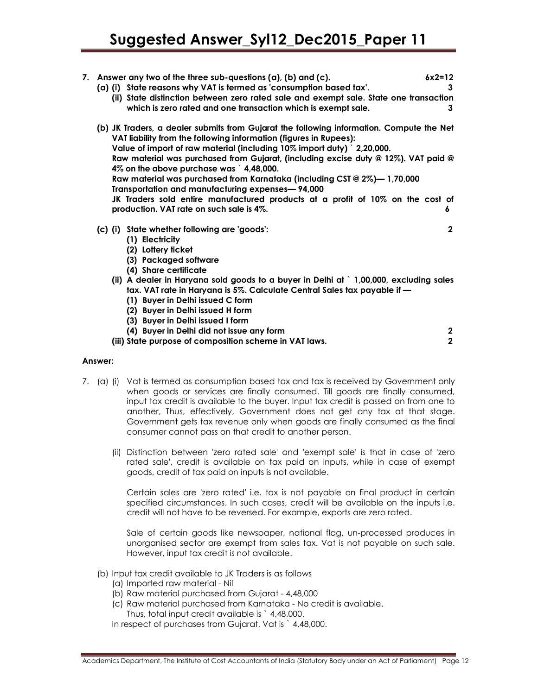| 7. Answer any two of the three sub-questions $(a)$ , $(b)$ and $(c)$ .<br>(a) (i) State reasons why VAT is termed as 'consumption based tax'.<br>(ii) State distinction between zero rated sale and exempt sale. State one transaction<br>which is zero rated and one transaction which is exempt sale.                                                                                                                                                                                                                                                                                                                                 | $6x2=12$<br>3<br>3 |
|-----------------------------------------------------------------------------------------------------------------------------------------------------------------------------------------------------------------------------------------------------------------------------------------------------------------------------------------------------------------------------------------------------------------------------------------------------------------------------------------------------------------------------------------------------------------------------------------------------------------------------------------|--------------------|
| (b) JK Traders, a dealer submits from Gujarat the following information. Compute the Net<br>VAT liability from the following information (figures in Rupees):<br>Value of import of raw material (including 10% import duty) 2,20,000.<br>Raw material was purchased from Gujarat, (including excise duty @ 12%). VAT paid @<br>4% on the above purchase was 1,48,000.<br>Raw material was purchased from Karnataka (including CST $@2\%$ )— 1,70,000<br>Transportation and manufacturing expenses-94,000<br>JK Traders sold entire manufactured products at a profit of 10% on the cost of<br>production. VAT rate on such sale is 4%. | 6                  |
| (c) (i) State whether following are 'goods':<br>(1) Electricity<br>(2) Lottery ticket<br>(3) Packaged software<br>(4) Share certificate<br>(ii) A dealer in Haryana sold goods to a buyer in Delhi at $\degree$ 1,00,000, excluding sales<br>tax. VAT rate in Haryana is 5%. Calculate Central Sales tax payable if -<br>(1) Buyer in Delhi issued C form<br>(2) Buyer in Delhi issued H form<br>(3) Buyer in Delhi issued I form                                                                                                                                                                                                       | $\mathbf 2$        |
| (4) Buyer in Delhi did not issue any form                                                                                                                                                                                                                                                                                                                                                                                                                                                                                                                                                                                               | $\mathbf{2}$       |
| (iii) State purpose of composition scheme in VAT laws.                                                                                                                                                                                                                                                                                                                                                                                                                                                                                                                                                                                  | $\mathbf 2$        |

#### Answer:

- 7. (a) (i) Vat is termed as consumption based tax and tax is received by Government only when goods or services are finally consumed. Till goods are finally consumed, input tax credit is available to the buyer. Input tax credit is passed on from one to another, Thus, effectively, Government does not get any tax at that stage. Government gets tax revenue only when goods are finally consumed as the final consumer cannot pass on that credit to another person.
	- (ii) Distinction between 'zero rated sale' and 'exempt sale' is that in case of 'zero rated sale', credit is available on tax paid on inputs, while in case of exempt goods, credit of tax paid on inputs is not available.

Certain sales are 'zero rated' i.e. tax is not payable on final product in certain specified circumstances. In such cases, credit will be available on the inputs i.e. credit will not have to be reversed. For example, exports are zero rated.

Sale of certain goods like newspaper, national flag, un-processed produces in unorganised sector are exempt from sales tax. Vat is not payable on such sale. However, input tax credit is not available.

- (b) Input tax credit available to JK Traders is as follows
	- (a) Imported raw material Nil
	- (b) Raw material purchased from Gujarat 4,48,000
	- (c) Raw material purchased from Karnataka No credit is available. Thus, total input credit available is ` 4,48,000.

In respect of purchases from Gujarat, Vat is `4,48,000.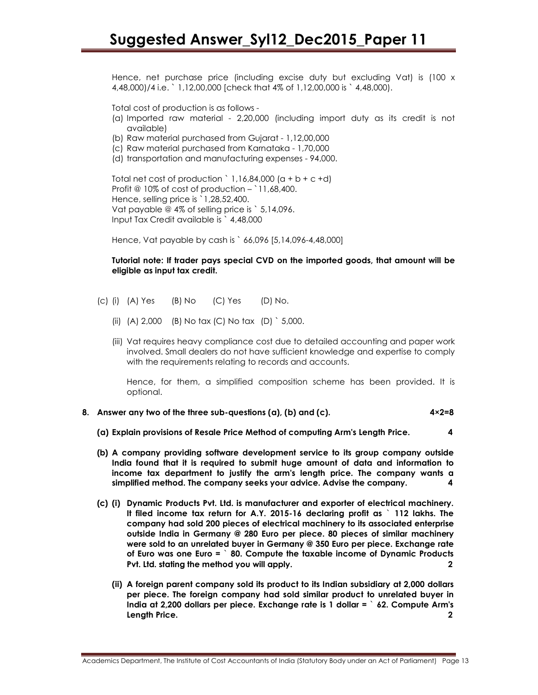Hence, net purchase price (including excise duty but excluding Vat) is (100 x 4,48,000)/4 i.e. ` 1,12,00,000 [check that 4% of 1,12,00,000 is ` 4,48,000).

Total cost of production is as follows -

- (a) Imported raw material 2,20,000 (including import duty as its credit is not available)
- (b) Raw material purchased from Gujarat 1,12,00,000
- (c) Raw material purchased from Karnataka 1,70,000
- (d) transportation and manufacturing expenses 94,000.

Total net cost of production `  $1,16,84,000$  (a + b + c +d) Profit  $\textcircled{a}$  10% of cost of production – `11,68,400. Hence, selling price is `1,28,52,400. Vat payable @ 4% of selling price is ` 5,14,096. Input Tax Credit available is ` 4,48,000

Hence, Vat payable by cash is ` 66,096 [5,14,096-4,48,000]

Tutorial note: If trader pays special CVD on the imported goods, that amount will be eligible as input tax credit.

- (c) (i) (A) Yes (B) No (C) Yes (D) No.
	- (ii) (A) 2,000 (B) No tax (C) No tax (D) ` 5,000.
	- (iii) Vat requires heavy compliance cost due to detailed accounting and paper work involved. Small dealers do not have sufficient knowledge and expertise to comply with the requirements relating to records and accounts.

Hence, for them, a simplified composition scheme has been provided. It is optional.

- 8. Answer any two of the three sub-questions (a), (b) and (c).  $4 \times 2=8$ 
	- (a) Explain provisions of Resale Price Method of computing Arm's Length Price. 4
	- (b) A company providing software development service to its group company outside India found that it is required to submit huge amount of data and information to income tax department to justify the arm's length price. The company wants a simplified method. The company seeks your advice. Advise the company. 4
	- (c) (i) Dynamic Products Pvt. Ltd. is manufacturer and exporter of electrical machinery. It filed income tax return for A.Y. 2015-16 declaring profit as ` 112 lakhs. The company had sold 200 pieces of electrical machinery to its associated enterprise outside India in Germany @ 280 Euro per piece. 80 pieces of similar machinery were sold to an unrelated buyer in Germany @ 350 Euro per piece. Exchange rate of Euro was one Euro = ` 80. Compute the taxable income of Dynamic Products Pvt. Ltd. stating the method you will apply.
		- (ii) A foreign parent company sold its product to its Indian subsidiary at 2,000 dollars per piece. The foreign company had sold similar product to unrelated buyer in India at 2,200 dollars per piece. Exchange rate is 1 dollar = ` 62. Compute Arm's Length Price. 2

Academics Department, The Institute of Cost Accountants of India (Statutory Body under an Act of Parliament) Page 13